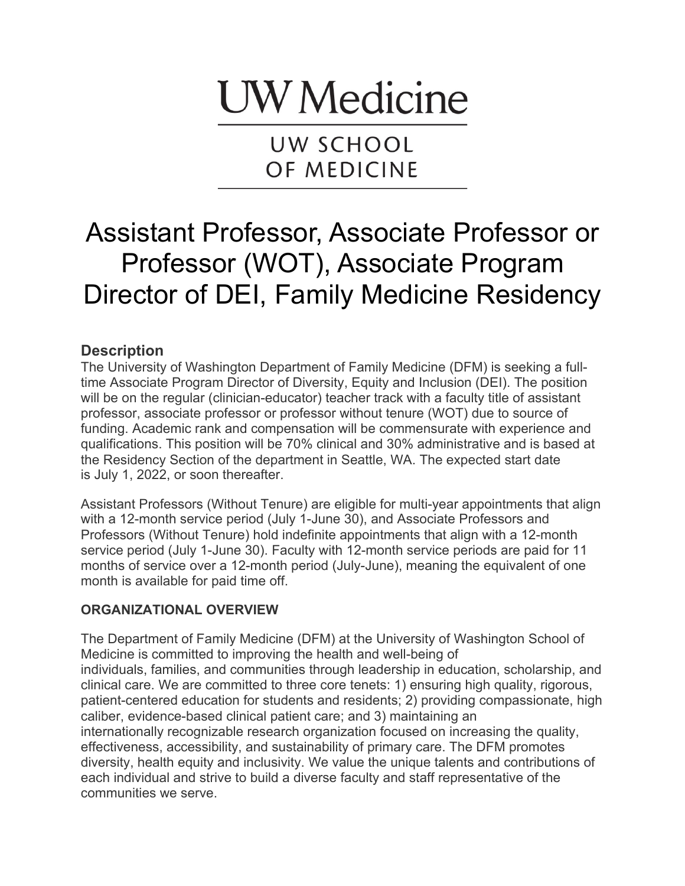# **UW** Medicine

UW SCHOOL OF MEDICINE

# Assistant Professor, Associate Professor or Professor (WOT), Associate Program Director of DEI, Family Medicine Residency

### **Description**

The University of Washington Department of Family Medicine (DFM) is seeking a fulltime Associate Program Director of Diversity, Equity and Inclusion (DEI). The position will be on the regular (clinician-educator) teacher track with a faculty title of assistant professor, associate professor or professor without tenure (WOT) due to source of funding. Academic rank and compensation will be commensurate with experience and qualifications. This position will be 70% clinical and 30% administrative and is based at the Residency Section of the department in Seattle, WA. The expected start date is July 1, 2022, or soon thereafter.

Assistant Professors (Without Tenure) are eligible for multi-year appointments that align with a 12-month service period (July 1-June 30), and Associate Professors and Professors (Without Tenure) hold indefinite appointments that align with a 12-month service period (July 1-June 30). Faculty with 12-month service periods are paid for 11 months of service over a 12-month period (July-June), meaning the equivalent of one month is available for paid time off.

#### **ORGANIZATIONAL OVERVIEW**

The Department of Family Medicine (DFM) at the University of Washington School of Medicine is committed to improving the health and well-being of individuals, families, and communities through leadership in education, scholarship, and clinical care. We are committed to three core tenets: 1) ensuring high quality, rigorous, patient-centered education for students and residents; 2) providing compassionate, high caliber, evidence-based clinical patient care; and 3) maintaining an internationally recognizable research organization focused on increasing the quality, effectiveness, accessibility, and sustainability of primary care. The DFM promotes diversity, health equity and inclusivity. We value the unique talents and contributions of each individual and strive to build a diverse faculty and staff representative of the communities we serve.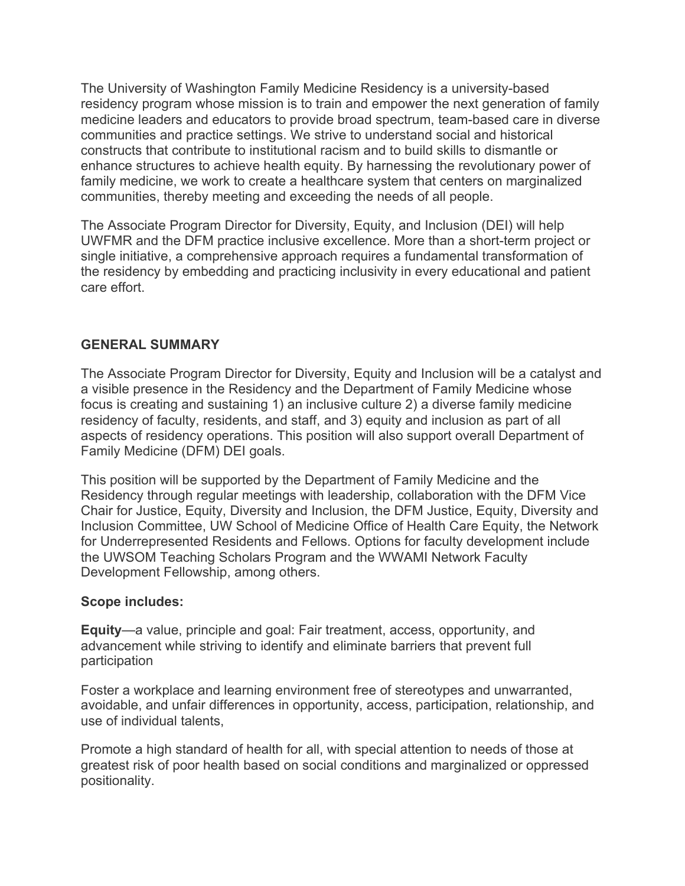The University of Washington Family Medicine Residency is a university-based residency program whose mission is to train and empower the next generation of family medicine leaders and educators to provide broad spectrum, team-based care in diverse communities and practice settings. We strive to understand social and historical constructs that contribute to institutional racism and to build skills to dismantle or enhance structures to achieve health equity. By harnessing the revolutionary power of family medicine, we work to create a healthcare system that centers on marginalized communities, thereby meeting and exceeding the needs of all people.

The Associate Program Director for Diversity, Equity, and Inclusion (DEI) will help UWFMR and the DFM practice inclusive excellence. More than a short-term project or single initiative, a comprehensive approach requires a fundamental transformation of the residency by embedding and practicing inclusivity in every educational and patient care effort.

#### **GENERAL SUMMARY**

The Associate Program Director for Diversity, Equity and Inclusion will be a catalyst and a visible presence in the Residency and the Department of Family Medicine whose focus is creating and sustaining 1) an inclusive culture 2) a diverse family medicine residency of faculty, residents, and staff, and 3) equity and inclusion as part of all aspects of residency operations. This position will also support overall Department of Family Medicine (DFM) DEI goals.

This position will be supported by the Department of Family Medicine and the Residency through regular meetings with leadership, collaboration with the DFM Vice Chair for Justice, Equity, Diversity and Inclusion, the DFM Justice, Equity, Diversity and Inclusion Committee, UW School of Medicine Office of Health Care Equity, the Network for Underrepresented Residents and Fellows. Options for faculty development include the UWSOM Teaching Scholars Program and the WWAMI Network Faculty Development Fellowship, among others.

#### **Scope includes:**

**Equity**—a value, principle and goal: Fair treatment, access, opportunity, and advancement while striving to identify and eliminate barriers that prevent full participation

Foster a workplace and learning environment free of stereotypes and unwarranted, avoidable, and unfair differences in opportunity, access, participation, relationship, and use of individual talents,

Promote a high standard of health for all, with special attention to needs of those at greatest risk of poor health based on social conditions and marginalized or oppressed positionality.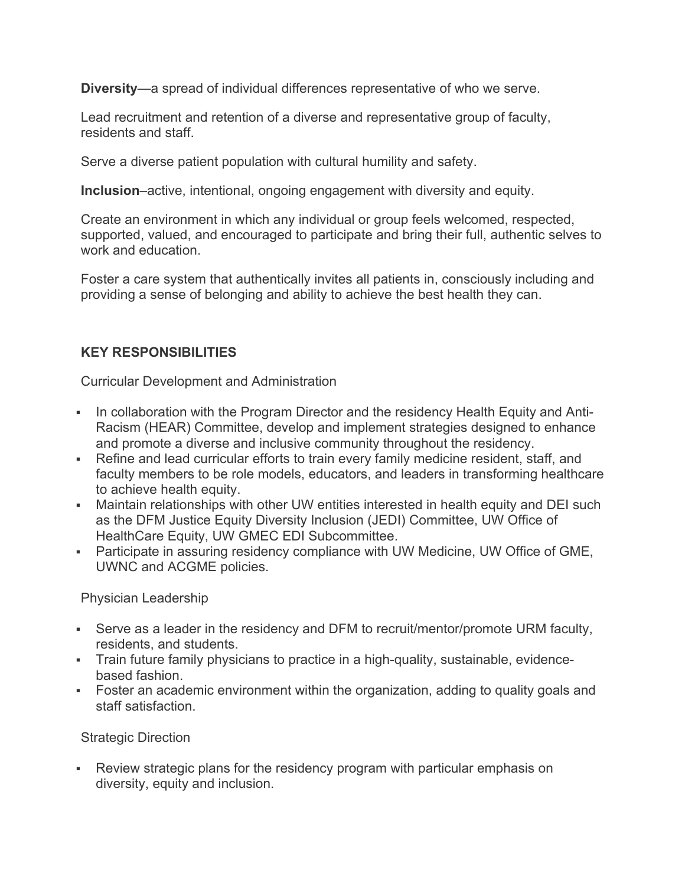**Diversity**—a spread of individual differences representative of who we serve.

Lead recruitment and retention of a diverse and representative group of faculty, residents and staff.

Serve a diverse patient population with cultural humility and safety.

**Inclusion**–active, intentional, ongoing engagement with diversity and equity.

Create an environment in which any individual or group feels welcomed, respected, supported, valued, and encouraged to participate and bring their full, authentic selves to work and education.

Foster a care system that authentically invites all patients in, consciously including and providing a sense of belonging and ability to achieve the best health they can.

#### **KEY RESPONSIBILITIES**

Curricular Development and Administration

- In collaboration with the Program Director and the residency Health Equity and Anti-Racism (HEAR) Committee, develop and implement strategies designed to enhance and promote a diverse and inclusive community throughout the residency.
- Refine and lead curricular efforts to train every family medicine resident, staff, and faculty members to be role models, educators, and leaders in transforming healthcare to achieve health equity.
- Maintain relationships with other UW entities interested in health equity and DEI such as the DFM Justice Equity Diversity Inclusion (JEDI) Committee, UW Office of HealthCare Equity, UW GMEC EDI Subcommittee.
- Participate in assuring residency compliance with UW Medicine, UW Office of GME, UWNC and ACGME policies.

Physician Leadership

- Serve as a leader in the residency and DFM to recruit/mentor/promote URM faculty, residents, and students.
- Train future family physicians to practice in a high-quality, sustainable, evidencebased fashion.
- Foster an academic environment within the organization, adding to quality goals and staff satisfaction.

Strategic Direction

• Review strategic plans for the residency program with particular emphasis on diversity, equity and inclusion.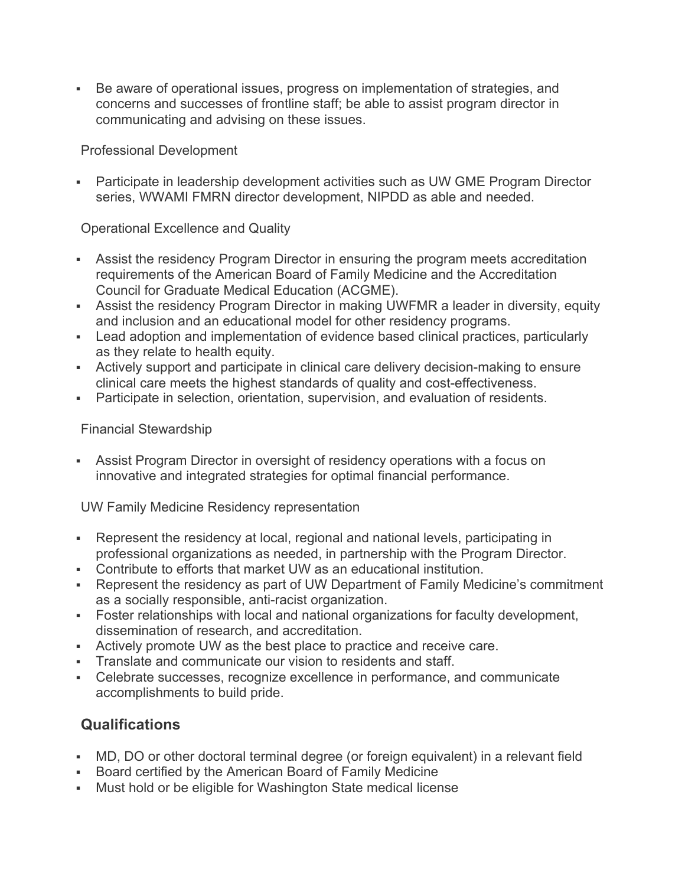§ Be aware of operational issues, progress on implementation of strategies, and concerns and successes of frontline staff; be able to assist program director in communicating and advising on these issues.

Professional Development

• Participate in leadership development activities such as UW GME Program Director series, WWAMI FMRN director development, NIPDD as able and needed.

Operational Excellence and Quality

- Assist the residency Program Director in ensuring the program meets accreditation requirements of the American Board of Family Medicine and the Accreditation Council for Graduate Medical Education (ACGME).
- Assist the residency Program Director in making UWFMR a leader in diversity, equity and inclusion and an educational model for other residency programs.
- Lead adoption and implementation of evidence based clinical practices, particularly as they relate to health equity.
- Actively support and participate in clinical care delivery decision-making to ensure clinical care meets the highest standards of quality and cost-effectiveness.
- Participate in selection, orientation, supervision, and evaluation of residents.

Financial Stewardship

• Assist Program Director in oversight of residency operations with a focus on innovative and integrated strategies for optimal financial performance.

UW Family Medicine Residency representation

- Represent the residency at local, regional and national levels, participating in professional organizations as needed, in partnership with the Program Director.
- Contribute to efforts that market UW as an educational institution.
- Represent the residency as part of UW Department of Family Medicine's commitment as a socially responsible, anti-racist organization.
- Foster relationships with local and national organizations for faculty development, dissemination of research, and accreditation.
- Actively promote UW as the best place to practice and receive care.
- Translate and communicate our vision to residents and staff.
- Celebrate successes, recognize excellence in performance, and communicate accomplishments to build pride.

## **Qualifications**

- MD, DO or other doctoral terminal degree (or foreign equivalent) in a relevant field
- § Board certified by the American Board of Family Medicine
- Must hold or be eligible for Washington State medical license